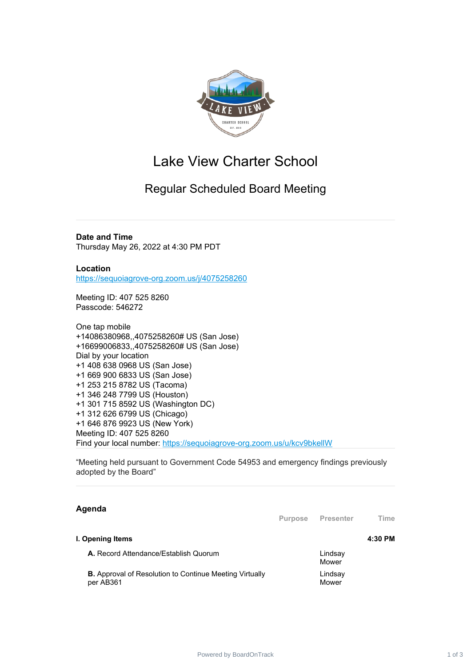

## Lake View Charter School

## Regular Scheduled Board Meeting

**Date and Time** Thursday May 26, 2022 at 4:30 PM PDT

**Location** [https://sequoiagrove-org.zoom.us/j/4075258260](https://www.google.com/url?q=https://sequoiagrove-org.zoom.us/j/4075258260&sa=D&source=calendar&ust=1651610380444612&usg=AOvVaw1bnFyQCA0d4NzSE9JRFe1N)

Meeting ID: 407 525 8260 Passcode: 546272

One tap mobile +14086380968,,4075258260# US (San Jose) +16699006833,,4075258260# US (San Jose) Dial by your location +1 408 638 0968 US (San Jose) +1 669 900 6833 US (San Jose) +1 253 215 8782 US (Tacoma) +1 346 248 7799 US (Houston) +1 301 715 8592 US (Washington DC) +1 312 626 6799 US (Chicago) +1 646 876 9923 US (New York) Meeting ID: 407 525 8260 Find your local number: [https://sequoiagrove-org.zoom.us/u/kcv9bkellW](https://www.google.com/url?q=https://sequoiagrove-org.zoom.us/u/kcv9bkellW&sa=D&source=calendar&ust=1651610380444612&usg=AOvVaw2Cs5S-z2NrEM_JVizA5F7Y)

"Meeting held pursuant to Government Code 54953 and emergency findings previously adopted by the Board"

## **Agenda**

|                                                                             | <b>Purpose</b> | Presenter        | Time    |
|-----------------------------------------------------------------------------|----------------|------------------|---------|
| I. Opening Items                                                            |                |                  | 4:30 PM |
| A. Record Attendance/Establish Quorum                                       |                | Lindsay<br>Mower |         |
| <b>B.</b> Approval of Resolution to Continue Meeting Virtually<br>per AB361 |                | Lindsay<br>Mower |         |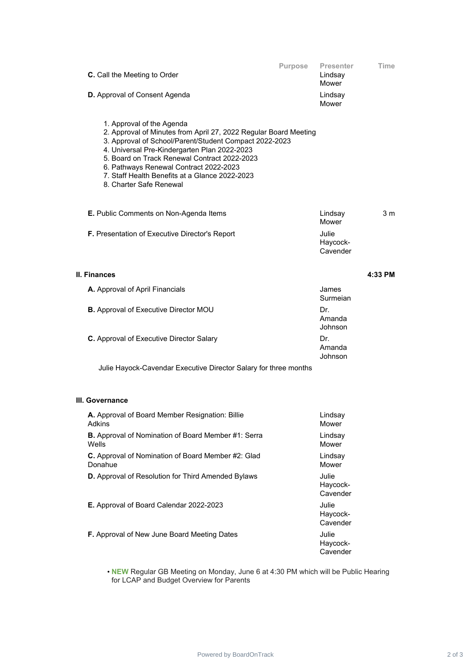| C. Call the Meeting to Order                                                                                                                                                                                                                                                                                                                                                   | Purpose<br>Presenter<br>Time<br>Lindsay<br>Mower |
|--------------------------------------------------------------------------------------------------------------------------------------------------------------------------------------------------------------------------------------------------------------------------------------------------------------------------------------------------------------------------------|--------------------------------------------------|
| D. Approval of Consent Agenda                                                                                                                                                                                                                                                                                                                                                  | Lindsay<br>Mower                                 |
| 1. Approval of the Agenda<br>2. Approval of Minutes from April 27, 2022 Regular Board Meeting<br>3. Approval of School/Parent/Student Compact 2022-2023<br>4. Universal Pre-Kindergarten Plan 2022-2023<br>5. Board on Track Renewal Contract 2022-2023<br>6. Pathways Renewal Contract 2022-2023<br>7. Staff Health Benefits at a Glance 2022-2023<br>8. Charter Safe Renewal |                                                  |
| E. Public Comments on Non-Agenda Items                                                                                                                                                                                                                                                                                                                                         | 3 m<br>Lindsay<br>Mower                          |
| F. Presentation of Executive Director's Report                                                                                                                                                                                                                                                                                                                                 | Julie<br>Haycock-<br>Cavender                    |
| II. Finances                                                                                                                                                                                                                                                                                                                                                                   | 4:33 PM                                          |
| A. Approval of April Financials                                                                                                                                                                                                                                                                                                                                                | James<br>Surmeian                                |
| <b>B.</b> Approval of Executive Director MOU                                                                                                                                                                                                                                                                                                                                   | Dr.<br>Amanda<br>Johnson                         |
| C. Approval of Executive Director Salary                                                                                                                                                                                                                                                                                                                                       | Dr.<br>Amanda<br>Johnson                         |
| Julie Hayock-Cavendar Executive Director Salary for three months                                                                                                                                                                                                                                                                                                               |                                                  |
| III. Governance                                                                                                                                                                                                                                                                                                                                                                |                                                  |
| A. Approval of Board Member Resignation: Billie<br>Adkins                                                                                                                                                                                                                                                                                                                      | Lindsay<br>Mower                                 |
| B. Approval of Nomination of Board Member #1: Serra<br>Wells                                                                                                                                                                                                                                                                                                                   | Lindsay<br>Mower                                 |
| C. Approval of Nomination of Board Member #2: Glad<br>Donahue                                                                                                                                                                                                                                                                                                                  | Lindsay<br>Mower                                 |
| D. Approval of Resolution for Third Amended Bylaws                                                                                                                                                                                                                                                                                                                             | Julie<br>Haycock-<br>Cavender                    |
| E. Approval of Board Calendar 2022-2023                                                                                                                                                                                                                                                                                                                                        | Julie<br>Haycock-<br>Cavender                    |
| F. Approval of New June Board Meeting Dates                                                                                                                                                                                                                                                                                                                                    | Julie<br>Haycock-<br>Cavender                    |

• **NEW** Regular GB Meeting on Monday, June 6 at 4:30 PM which will be Public Hearing for LCAP and Budget Overview for Parents